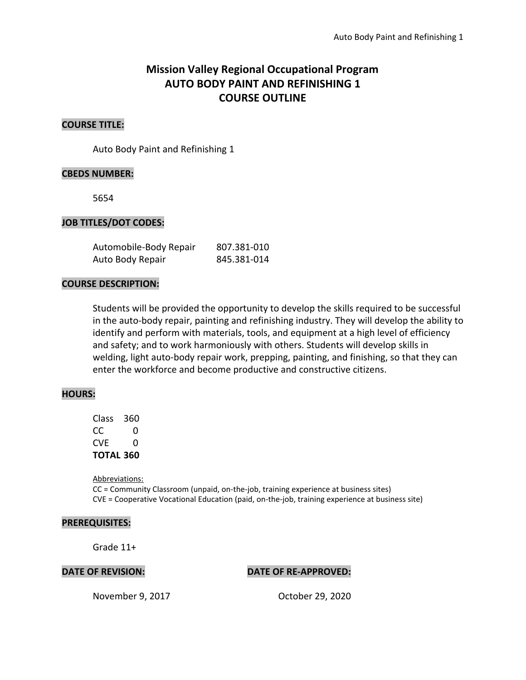# **Mission Valley Regional Occupational Program AUTO BODY PAINT AND REFINISHING 1 COURSE OUTLINE**

### **COURSE TITLE:**

Auto Body Paint and Refinishing 1

#### **CBEDS NUMBER:**

5654

#### **JOB TITLES/DOT CODES:**

| Automobile-Body Repair | 807.381-010 |
|------------------------|-------------|
| Auto Body Repair       | 845.381-014 |

#### **COURSE DESCRIPTION:**

Students will be provided the opportunity to develop the skills required to be successful in the auto-body repair, painting and refinishing industry. They will develop the ability to identify and perform with materials, tools, and equipment at a high level of efficiency and safety; and to work harmoniously with others. Students will develop skills in welding, light auto-body repair work, prepping, painting, and finishing, so that they can enter the workforce and become productive and constructive citizens.

#### **HOURS:**

Class 360 CC 0  $CVF \t 0$ **TOTAL 360**

Abbreviations: CC = Community Classroom (unpaid, on-the-job, training experience at business sites) CVE = Cooperative Vocational Education (paid, on-the-job, training experience at business site)

#### **PREREQUISITES:**

Grade 11+

#### **DATE OF REVISION: DATE OF RE-APPROVED:**

November 9, 2017 October 29, 2020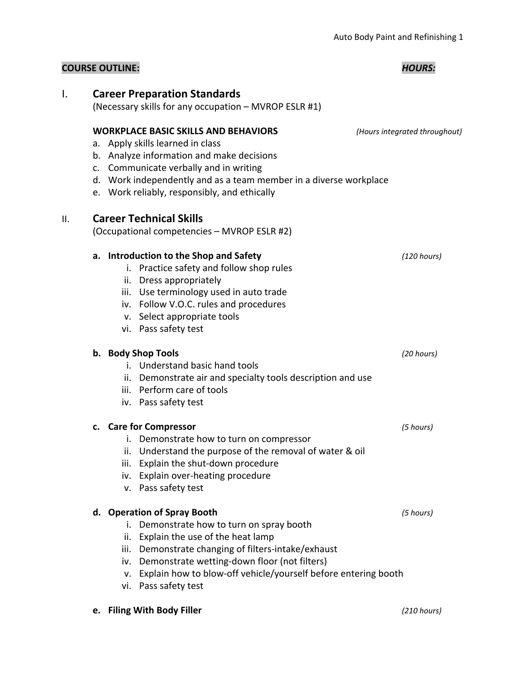| <b>COURSE OUTLINE:</b> |  | <b>HOURS:</b> |
|------------------------|--|---------------|
|------------------------|--|---------------|

# I. **Career Preparation Standards** (Necessary skills for any occupation – MVROP ESLR #1) **WORKPLACE BASIC SKILLS AND BEHAVIORS** *(Hours integrated throughout)* a. Apply skills learned in class b. Analyze information and make decisions c. Communicate verbally and in writing d. Work independently and as a team member in a diverse workplace e. Work reliably, responsibly, and ethically II. **Career Technical Skills** (Occupational competencies – MVROP ESLR #2) **a. Introduction to the Shop and Safety** *(120 hours)* i. Practice safety and follow shop rules ii. Dress appropriately iii. Use terminology used in auto trade iv. Follow V.O.C. rules and procedures v. Select appropriate tools vi. Pass safety test **b. Body Shop Tools** *(20 hours)* i. Understand basic hand tools ii. Demonstrate air and specialty tools description and use iii. Perform care of tools iv. Pass safety test **c. Care for Compressor** *(5 hours)* i. Demonstrate how to turn on compressor ii. Understand the purpose of the removal of water & oil iii. Explain the shut-down procedure iv. Explain over-heating procedure v. Pass safety test **d. Operation of Spray Booth** *(5 hours)* i. Demonstrate how to turn on spray booth ii. Explain the use of the heat lamp iii. Demonstrate changing of filters-intake/exhaust iv. Demonstrate wetting-down floor (not filters) v. Explain how to blow-off vehicle/yourself before entering booth vi. Pass safety test